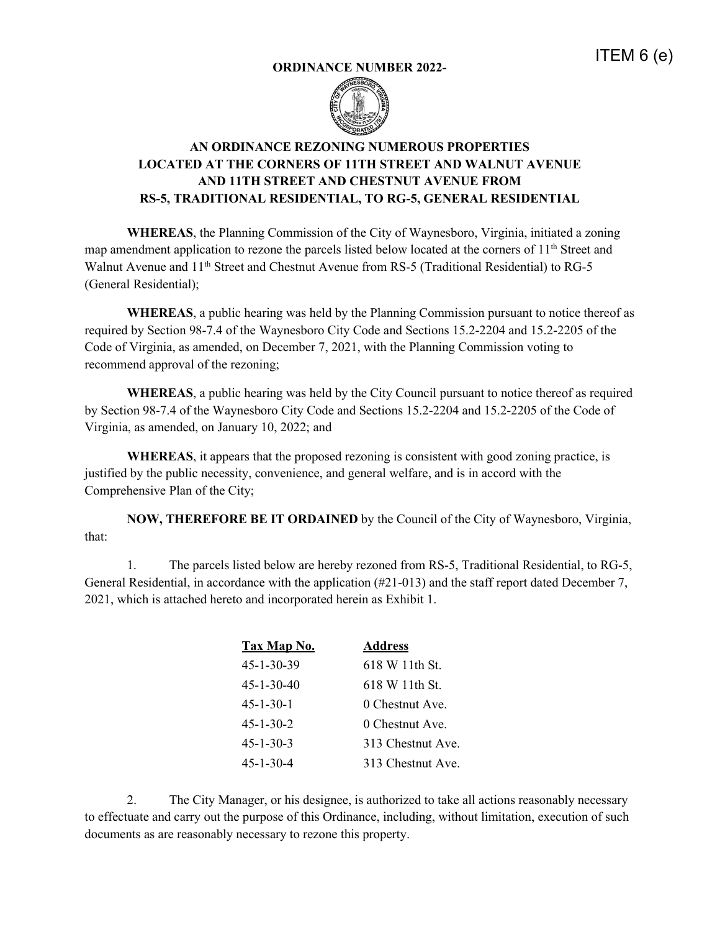## **ORDINANCE NUMBER 2022-**





## **AN ORDINANCE REZONING NUMEROUS PROPERTIES LOCATED AT THE CORNERS OF 11TH STREET AND WALNUT AVENUE AND 11TH STREET AND CHESTNUT AVENUE FROM RS-5, TRADITIONAL RESIDENTIAL, TO RG-5, GENERAL RESIDENTIAL**

**WHEREAS**, the Planning Commission of the City of Waynesboro, Virginia, initiated a zoning map amendment application to rezone the parcels listed below located at the corners of  $11<sup>th</sup>$  Street and Walnut Avenue and 11<sup>th</sup> Street and Chestnut Avenue from RS-5 (Traditional Residential) to RG-5 (General Residential);

**WHEREAS**, a public hearing was held by the Planning Commission pursuant to notice thereof as required by Section 98-7.4 of the Waynesboro City Code and Sections 15.2-2204 and 15.2-2205 of the Code of Virginia, as amended, on December 7, 2021, with the Planning Commission voting to recommend approval of the rezoning;

**WHEREAS**, a public hearing was held by the City Council pursuant to notice thereof as required by Section 98-7.4 of the Waynesboro City Code and Sections 15.2-2204 and 15.2-2205 of the Code of Virginia, as amended, on January 10, 2022; and

**WHEREAS**, it appears that the proposed rezoning is consistent with good zoning practice, is justified by the public necessity, convenience, and general welfare, and is in accord with the Comprehensive Plan of the City;

**NOW, THEREFORE BE IT ORDAINED** by the Council of the City of Waynesboro, Virginia, that:

1. The parcels listed below are hereby rezoned from RS-5, Traditional Residential, to RG-5, General Residential, in accordance with the application (#21-013) and the staff report dated December 7, 2021, which is attached hereto and incorporated herein as Exhibit 1.

| Tax Map No.        | <b>Address</b>    |
|--------------------|-------------------|
| $45 - 1 - 30 - 39$ | $618 W 11$ th St. |
| $45 - 1 - 30 - 40$ | $618 W 11$ th St. |
| $45 - 1 - 30 - 1$  | 0 Chestnut Ave.   |
| $45 - 1 - 30 - 2$  | 0 Chestnut Ave.   |
| $45 - 1 - 30 - 3$  | 313 Chestnut Ave. |
| $45 - 1 - 30 - 4$  | 313 Chestnut Ave. |

2. The City Manager, or his designee, is authorized to take all actions reasonably necessary to effectuate and carry out the purpose of this Ordinance, including, without limitation, execution of such documents as are reasonably necessary to rezone this property.